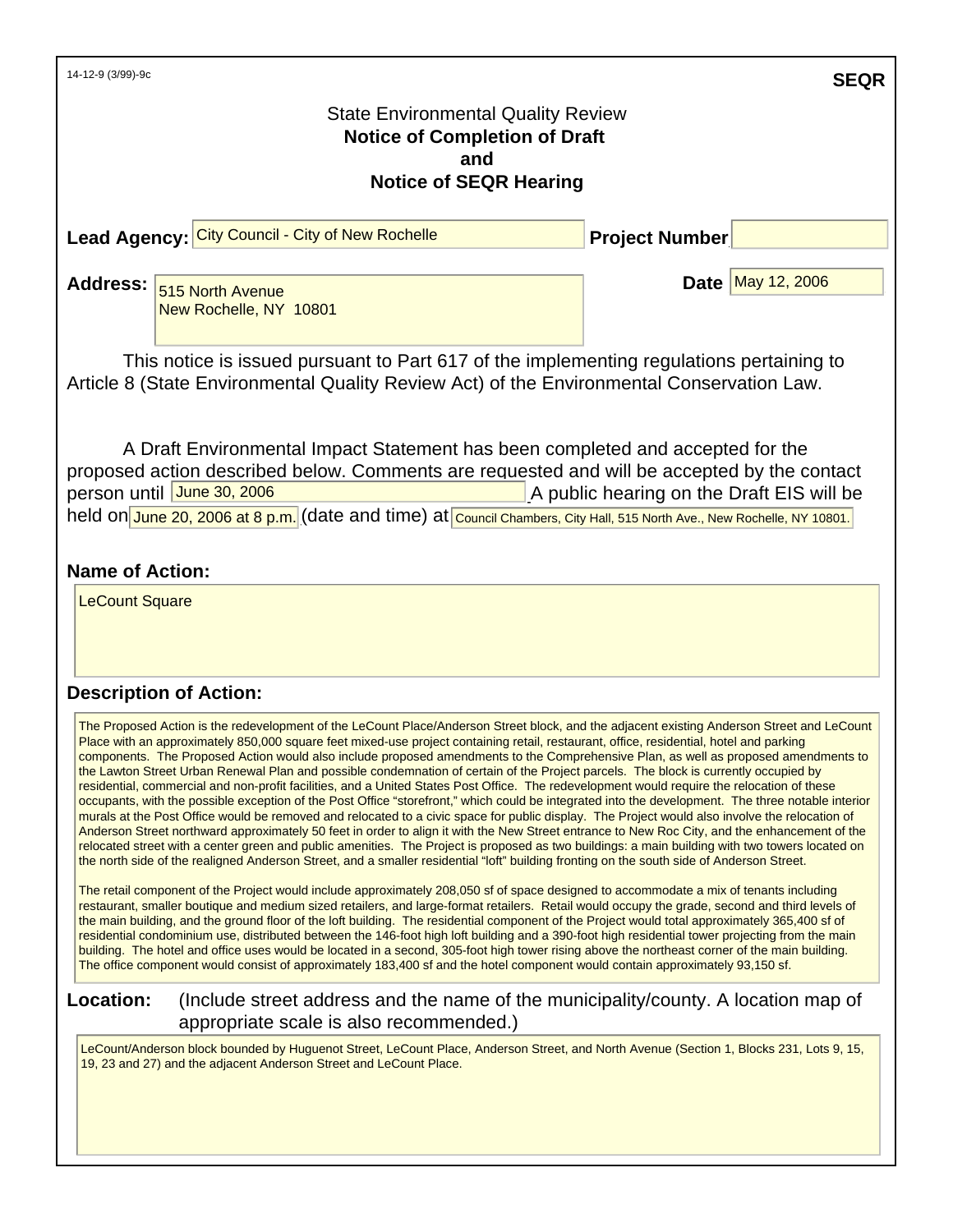| 14-12-9 (3/99)-9c                                                                                                                                                                                                                                                                                                                                                                                                                                                                                                                                                                                                                                                                                                                                                                                                                                                                                                                                                                                                                                                                                                                                                                                                                                                                                                                                                                                                                                                            |                       | <b>SEQR</b>       |  |
|------------------------------------------------------------------------------------------------------------------------------------------------------------------------------------------------------------------------------------------------------------------------------------------------------------------------------------------------------------------------------------------------------------------------------------------------------------------------------------------------------------------------------------------------------------------------------------------------------------------------------------------------------------------------------------------------------------------------------------------------------------------------------------------------------------------------------------------------------------------------------------------------------------------------------------------------------------------------------------------------------------------------------------------------------------------------------------------------------------------------------------------------------------------------------------------------------------------------------------------------------------------------------------------------------------------------------------------------------------------------------------------------------------------------------------------------------------------------------|-----------------------|-------------------|--|
| <b>State Environmental Quality Review</b><br><b>Notice of Completion of Draft</b><br>and                                                                                                                                                                                                                                                                                                                                                                                                                                                                                                                                                                                                                                                                                                                                                                                                                                                                                                                                                                                                                                                                                                                                                                                                                                                                                                                                                                                     |                       |                   |  |
| <b>Notice of SEQR Hearing</b>                                                                                                                                                                                                                                                                                                                                                                                                                                                                                                                                                                                                                                                                                                                                                                                                                                                                                                                                                                                                                                                                                                                                                                                                                                                                                                                                                                                                                                                |                       |                   |  |
| Lead Agency: City Council - City of New Rochelle                                                                                                                                                                                                                                                                                                                                                                                                                                                                                                                                                                                                                                                                                                                                                                                                                                                                                                                                                                                                                                                                                                                                                                                                                                                                                                                                                                                                                             | <b>Project Number</b> |                   |  |
| <b>Address:</b><br>515 North Avenue<br>New Rochelle, NY 10801                                                                                                                                                                                                                                                                                                                                                                                                                                                                                                                                                                                                                                                                                                                                                                                                                                                                                                                                                                                                                                                                                                                                                                                                                                                                                                                                                                                                                |                       | Date May 12, 2006 |  |
| This notice is issued pursuant to Part 617 of the implementing regulations pertaining to<br>Article 8 (State Environmental Quality Review Act) of the Environmental Conservation Law.                                                                                                                                                                                                                                                                                                                                                                                                                                                                                                                                                                                                                                                                                                                                                                                                                                                                                                                                                                                                                                                                                                                                                                                                                                                                                        |                       |                   |  |
| A Draft Environmental Impact Statement has been completed and accepted for the<br>proposed action described below. Comments are requested and will be accepted by the contact<br>person until June 30, 2006<br>A public hearing on the Draft EIS will be<br>held on June 20, 2006 at 8 p.m. (date and time) at Council Chambers, City Hall, 515 North Ave., New Rochelle, NY 10801.<br><b>Name of Action:</b>                                                                                                                                                                                                                                                                                                                                                                                                                                                                                                                                                                                                                                                                                                                                                                                                                                                                                                                                                                                                                                                                |                       |                   |  |
| <b>LeCount Square</b>                                                                                                                                                                                                                                                                                                                                                                                                                                                                                                                                                                                                                                                                                                                                                                                                                                                                                                                                                                                                                                                                                                                                                                                                                                                                                                                                                                                                                                                        |                       |                   |  |
| <b>Description of Action:</b>                                                                                                                                                                                                                                                                                                                                                                                                                                                                                                                                                                                                                                                                                                                                                                                                                                                                                                                                                                                                                                                                                                                                                                                                                                                                                                                                                                                                                                                |                       |                   |  |
| The Proposed Action is the redevelopment of the LeCount Place/Anderson Street block, and the adjacent existing Anderson Street and LeCount<br>Place with an approximately 850,000 square feet mixed-use project containing retail, restaurant, office, residential, hotel and parking<br>components. The Proposed Action would also include proposed amendments to the Comprehensive Plan, as well as proposed amendments to<br>the Lawton Street Urban Renewal Plan and possible condemnation of certain of the Project parcels. The block is currently occupied by<br>residential, commercial and non-profit facilities, and a United States Post Office. The redevelopment would require the relocation of these<br>occupants, with the possible exception of the Post Office "storefront," which could be integrated into the development. The three notable interior<br>murals at the Post Office would be removed and relocated to a civic space for public display. The Project would also involve the relocation of<br>Anderson Street northward approximately 50 feet in order to align it with the New Street entrance to New Roc City, and the enhancement of the<br>relocated street with a center green and public amenities. The Project is proposed as two buildings: a main building with two towers located on<br>the north side of the realigned Anderson Street, and a smaller residential "loft" building fronting on the south side of Anderson Street. |                       |                   |  |
| The retail component of the Project would include approximately 208,050 sf of space designed to accommodate a mix of tenants including<br>restaurant, smaller boutique and medium sized retailers, and large-format retailers. Retail would occupy the grade, second and third levels of<br>the main building, and the ground floor of the loft building. The residential component of the Project would total approximately 365,400 sf of<br>residential condominium use, distributed between the 146-foot high loft building and a 390-foot high residential tower projecting from the main<br>building. The hotel and office uses would be located in a second, 305-foot high tower rising above the northeast corner of the main building.<br>The office component would consist of approximately 183,400 sf and the hotel component would contain approximately 93,150 sf.<br>$\mu$ and $\mu$ and $\mu$ and $\mu$ and $\mu$ and $\mu$ and $\mu$ and $\mu$ and $\mu$ and $\mu$ and $\mu$ and $\mu$ and $\mu$                                                                                                                                                                                                                                                                                                                                                                                                                                                             |                       |                   |  |

# **Location:** (Include street address and the name of the municipality/county. A location map of appropriate scale is also recommended.)

LeCount/Anderson block bounded by Huguenot Street, LeCount Place, Anderson Street, and North Avenue (Section 1, Blocks 231, Lots 9, 15, 19, 23 and 27) and the adjacent Anderson Street and LeCount Place.